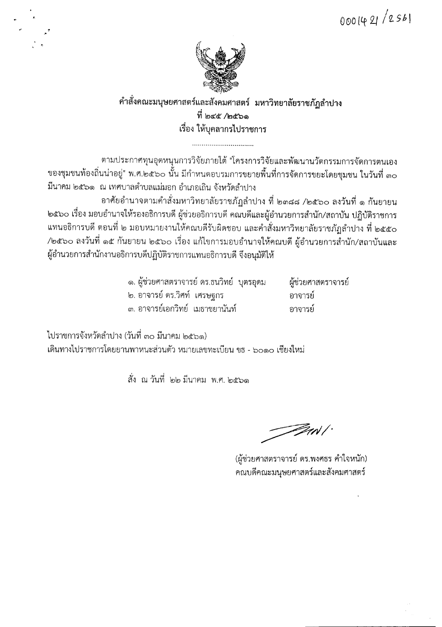0001421/2561



## คำสั่งคณะมนุษยศาสตร์และสังคมศาสตร์ มหาวิทยาลัยราชภัฏลำปาง ที่ ๒๔๕ /๒๕๖๑ เรื่อง ให้บุคลากรไปราชการ

ตามประกาศทุนอุดหนุนการวิจัยภายใต้ "โครงการวิจัยและพัฒนานวัตกรรมการจัดการตนเอง ของชุมชนท้องถิ่นน่าอยู่" พ.ศ.๒๕๖๐ นั้น มีกำหนดอบรมการขยายพื้นที่การจัดการขยะโดยชุมชน ในวันที่ ๓๐ มีนาคม ๒๕๖๑ ณ เทศบาลตำบลแม่มอก อำเภอเถิน จังหวัดลำปาง

้อาศัยอำนาจตามคำสั่งมหาวิทยาลัยราชภัฏลำปาง ที่ ๒๓๘๘ /๒๕๖๐ ลงวันที่ ๑ กันยายน ๒๕๖๐ เรื่อง มอบอำนาจให้รองอธิการบดี ผู้ช่วยอธิการบดี คณบดีและผู้อำนวยการสำนัก/สถาบัน ปฏิบัติราชการ แทนอธิการบดี ตอนที่ ๒ มอบหมายงานให้คณบดีรับผิดชอบ และคำสั่งมหาวิทยาลัยราชภัฏลำปาง ที่ ๒๕๕๐ /๒๕๖๐ ลงวันที่ ๑๕ กันยายน ๒๕๖๐ เรื่อง แก้ไขการมอบอำนาจให้คณบดี ผู้อำนวยการสำนัก/สถาบันและ ผู้อำนวยการสำนักงานอธิการบดีปฏิบัติราชการแทนอธิการบดี จึงอนุมัติให้

| ๑. ผู้ช่วยศาสตราจารย์ ดร.ธนวิทย์  บุตรอุดม |  | ผู้ช่วยศาสตราจารย์ |
|--------------------------------------------|--|--------------------|
| ๒. อาจารย์ ดร.วิศท์  เศรษฐกร               |  | ้อาจารย์           |
| ๓. อาจารย์เอกวิทย์  เมธาชยานันท์           |  | อาจารย์            |

ไปราชการจังหวัดลำปาง (วันที่ ๓๐ มีนาคม ๒๕๖๑) เดินทางไปราชการโดยยานพาหนะส่วนตัว หมายเลขทะเบียน ขธ - ๖๐๑๐ เชียงใหม่

สั่ง ณ วันที่ ๒๒ มีนาคม พ.ศ. ๒๕๖๑

ZW/

(ผู้ช่วยศาสตราจารย์ ดร.พงศธร คำใจหนัก) คณบดีคณะมนุษยศาสตร์และสังคมศาสตร์